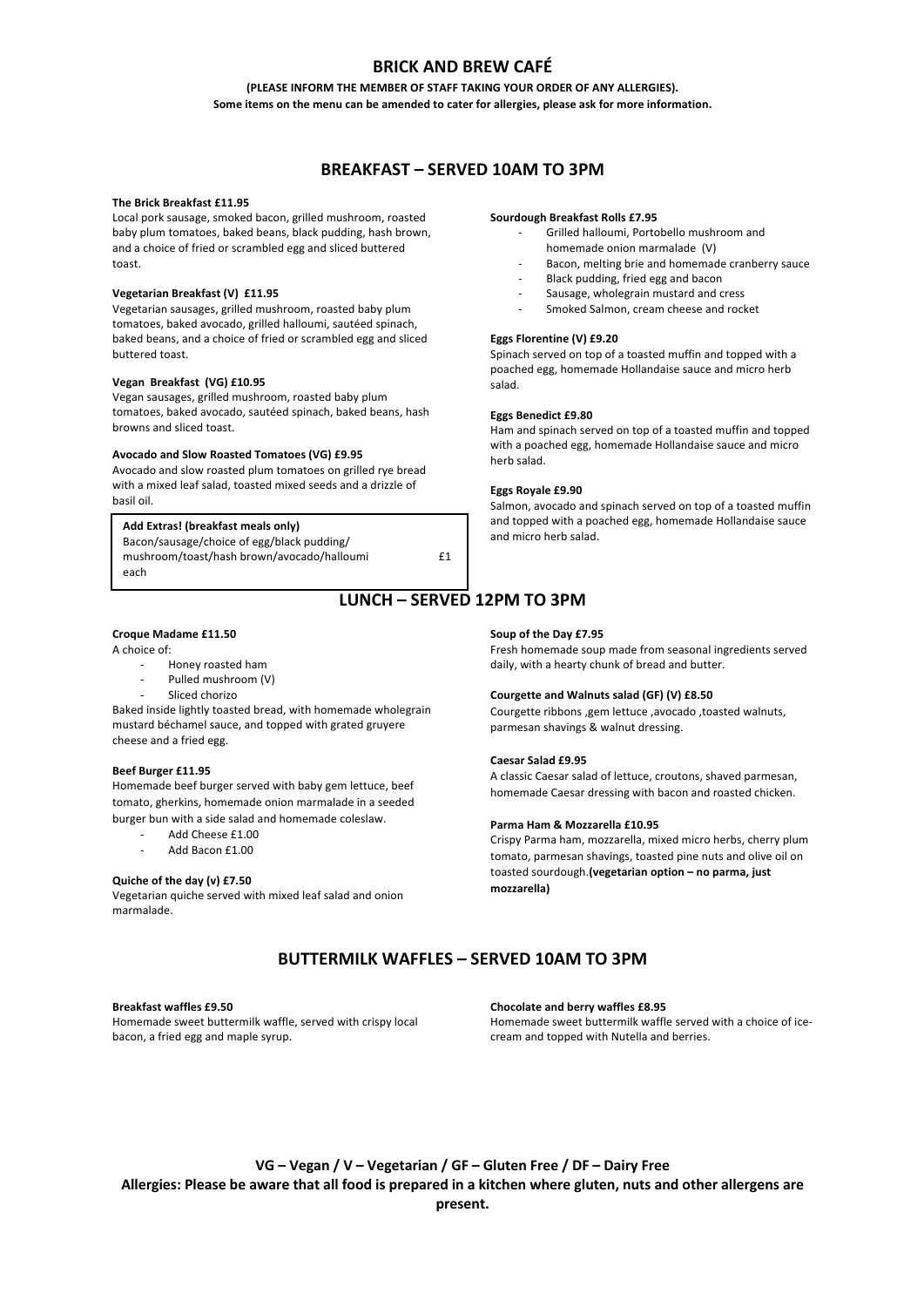# **BRICK AND BREW CAFÉ**

## **(PLEASE INFORM THE MEMBER OF STAFF TAKING YOUR ORDER OF ANY ALLERGIES). Some items on the menu can be amended to cater for allergies, please ask for more information.**

# **BREAKFAST – SERVED 10AM TO 3PM**

### **The Brick Breakfast £11.95**

Local pork sausage, smoked bacon, grilled mushroom, roasted baby plum tomatoes, baked beans, black pudding, hash brown, and a choice of fried or scrambled egg and sliced buttered toast.

# **Vegetarian Breakfast (V) £11.95**

Vegetarian sausages, grilled mushroom, roasted baby plum tomatoes, baked avocado, grilled halloumi, sautéed spinach, baked beans, and a choice of fried or scrambled egg and sliced buttered toast.

#### **Vegan Breakfast (VG) £10.95**

Vegan sausages, grilled mushroom, roasted baby plum tomatoes, baked avocado, sautéed spinach, baked beans, hash browns and sliced toast.

### **Avocado and Slow Roasted Tomatoes (VG) £9.95**

Avocado and slow roasted plum tomatoes on grilled rye bread with a mixed leaf salad, toasted mixed seeds and a drizzle of basil oil.

| Add Extras! (breakfast meals only)         |    |
|--------------------------------------------|----|
| Bacon/sausage/choice of egg/black pudding/ |    |
| mushroom/toast/hash brown/avocado/halloumi | f1 |
| each                                       |    |

# **LUNCH – SERVED 12PM TO 3PM**

### **Croque Madame £11.50**

A choice of:

- Honey roasted ham
- Pulled mushroom (V)
- Sliced chorizo

Baked inside lightly toasted bread, with homemade wholegrain mustard béchamel sauce, and topped with grated gruyere cheese and a fried egg.

## **Beef Burger £11.95**

Homemade beef burger served with baby gem lettuce, beef tomato, gherkins, homemade onion marmalade in a seeded burger bun with a side salad and homemade coleslaw.

- Add Cheese £1.00
- Add Bacon £1.00

## **Quiche of the day (v) £7.50**

Vegetarian quiche served with mixed leaf salad and onion marmalade.

### **Sourdough Breakfast Rolls £7.95**

- Grilled halloumi, Portobello mushroom and
- homemade onion marmalade (V)
	- Bacon, melting brie and homemade cranberry sauce
	- Black pudding, fried egg and bacon
	- Sausage, wholegrain mustard and cress
	- Smoked Salmon, cream cheese and rocket

## **Eggs Florentine (V) £9.20**

Spinach served on top of a toasted muffin and topped with a poached egg, homemade Hollandaise sauce and micro herb salad.

# **Eggs Benedict £9.80**

Ham and spinach served on top of a toasted muffin and topped with a poached egg, homemade Hollandaise sauce and micro herb salad.

#### **Eggs Royale £9.90**

Salmon, avocado and spinach served on top of a toasted muffin and topped with a poached egg, homemade Hollandaise sauce and micro herb salad.

# **Soup of the Day £7.95**

Fresh homemade soup made from seasonal ingredients served daily, with a hearty chunk of bread and butter.

#### **Courgette and Walnuts salad (GF) (V) £8.50**

Courgette ribbons ,gem lettuce ,avocado ,toasted walnuts, parmesan shavings & walnut dressing.

#### **Caesar Salad £9.95**

A classic Caesar salad of lettuce, croutons, shaved parmesan, homemade Caesar dressing with bacon and roasted chicken.

#### **Parma Ham & Mozzarella £10.95**

Crispy Parma ham, mozzarella, mixed micro herbs, cherry plum tomato, parmesan shavings, toasted pine nuts and olive oil on toasted sourdough.**(vegetarian option – no parma, just mozzarella)**

# **BUTTERMILK WAFFLES – SERVED 10AM TO 3PM**

#### **Breakfast waffles £9.50**

Homemade sweet buttermilk waffle, served with crispy local bacon, a fried egg and maple syrup.

**Chocolate and berry waffles £8.95**

Homemade sweet buttermilk waffle served with a choice of icecream and topped with Nutella and berries.

**VG – Vegan / V – Vegetarian / GF – Gluten Free / DF – Dairy Free Allergies: Please be aware that all food is prepared in a kitchen where gluten, nuts and other allergens are present.**